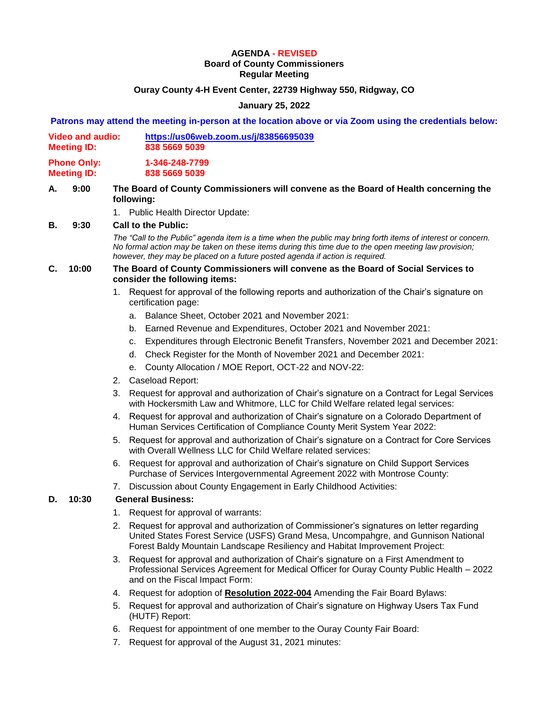# **AGENDA - REVISED**

### **Board of County Commissioners Regular Meeting**

## **Ouray County 4-H Event Center, 22739 Highway 550, Ridgway, CO**

## **January 25, 2022**

### **Patrons may attend the meeting in-person at the location above or via Zoom using the credentials below:**

| Video and audio:   | https://us06web.zoom.us/j/83856695039 |
|--------------------|---------------------------------------|
| <b>Meeting ID:</b> | 838 5669 5039                         |

**Phone Only: 1-346-248-7799 Meeting ID: 838 5669 5039**

### **A. 9:00 The Board of County Commissioners will convene as the Board of Health concerning the following:**

1. Public Health Director Update:

### **B. 9:30 Call to the Public:**

*The "Call to the Public" agenda item is a time when the public may bring forth items of interest or concern. No formal action may be taken on these items during this time due to the open meeting law provision; however, they may be placed on a future posted agenda if action is required.*

## **C. 10:00 The Board of County Commissioners will convene as the Board of Social Services to consider the following items:**

- 1. Request for approval of the following reports and authorization of the Chair's signature on certification page:
	- a. Balance Sheet, October 2021 and November 2021:
	- b. Earned Revenue and Expenditures, October 2021 and November 2021:
	- c. Expenditures through Electronic Benefit Transfers, November 2021 and December 2021:
	- d. Check Register for the Month of November 2021 and December 2021:
	- e. County Allocation / MOE Report, OCT-22 and NOV-22:
- 2. Caseload Report:
- 3. Request for approval and authorization of Chair's signature on a Contract for Legal Services with Hockersmith Law and Whitmore, LLC for Child Welfare related legal services:
- 4. Request for approval and authorization of Chair's signature on a Colorado Department of Human Services Certification of Compliance County Merit System Year 2022:
- 5. Request for approval and authorization of Chair's signature on a Contract for Core Services with Overall Wellness LLC for Child Welfare related services:
- 6. Request for approval and authorization of Chair's signature on Child Support Services Purchase of Services Intergovernmental Agreement 2022 with Montrose County:
- 7. Discussion about County Engagement in Early Childhood Activities:

## **D. 10:30 General Business:**

- 1. Request for approval of warrants:
- 2. Request for approval and authorization of Commissioner's signatures on letter regarding United States Forest Service (USFS) Grand Mesa, Uncompahgre, and Gunnison National Forest Baldy Mountain Landscape Resiliency and Habitat Improvement Project:
- 3. Request for approval and authorization of Chair's signature on a First Amendment to Professional Services Agreement for Medical Officer for Ouray County Public Health – 2022 and on the Fiscal Impact Form:
- 4. Request for adoption of **Resolution 2022-004** Amending the Fair Board Bylaws:
- 5. Request for approval and authorization of Chair's signature on Highway Users Tax Fund (HUTF) Report:
- 6. Request for appointment of one member to the Ouray County Fair Board:
- 7. Request for approval of the August 31, 2021 minutes: